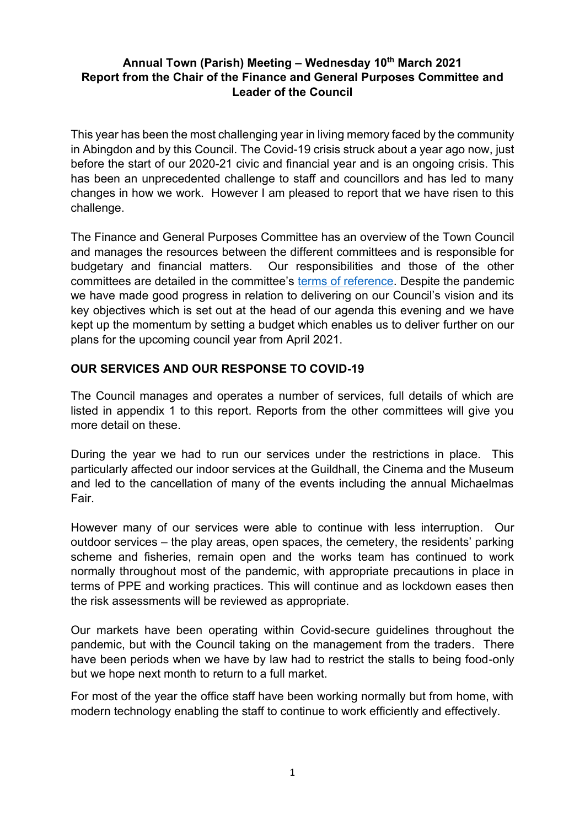### **Annual Town (Parish) Meeting – Wednesday 10th March 2021 Report from the Chair of the Finance and General Purposes Committee and Leader of the Council**

This year has been the most challenging year in living memory faced by the community in Abingdon and by this Council. The Covid-19 crisis struck about a year ago now, just before the start of our 2020-21 civic and financial year and is an ongoing crisis. This has been an unprecedented challenge to staff and councillors and has led to many changes in how we work. However I am pleased to report that we have risen to this challenge.

The Finance and General Purposes Committee has an overview of the Town Council and manages the resources between the different committees and is responsible for budgetary and financial matters. Our responsibilities and those of the other committees are detailed in the committee's [terms of reference.](https://www.abingdon.gov.uk/system/files/sites/default/files/towncouncil/terms_of_reference_and_scheme_of_delegation_june_2020.pdf) Despite the pandemic we have made good progress in relation to delivering on our Council's vision and its key objectives which is set out at the head of our agenda this evening and we have kept up the momentum by setting a budget which enables us to deliver further on our plans for the upcoming council year from April 2021.

## **OUR SERVICES AND OUR RESPONSE TO COVID-19**

The Council manages and operates a number of services, full details of which are listed in appendix 1 to this report. Reports from the other committees will give you more detail on these.

During the year we had to run our services under the restrictions in place. This particularly affected our indoor services at the Guildhall, the Cinema and the Museum and led to the cancellation of many of the events including the annual Michaelmas Fair.

However many of our services were able to continue with less interruption. Our outdoor services – the play areas, open spaces, the cemetery, the residents' parking scheme and fisheries, remain open and the works team has continued to work normally throughout most of the pandemic, with appropriate precautions in place in terms of PPE and working practices. This will continue and as lockdown eases then the risk assessments will be reviewed as appropriate.

Our markets have been operating within Covid-secure guidelines throughout the pandemic, but with the Council taking on the management from the traders. There have been periods when we have by law had to restrict the stalls to being food-only but we hope next month to return to a full market.

For most of the year the office staff have been working normally but from home, with modern technology enabling the staff to continue to work efficiently and effectively.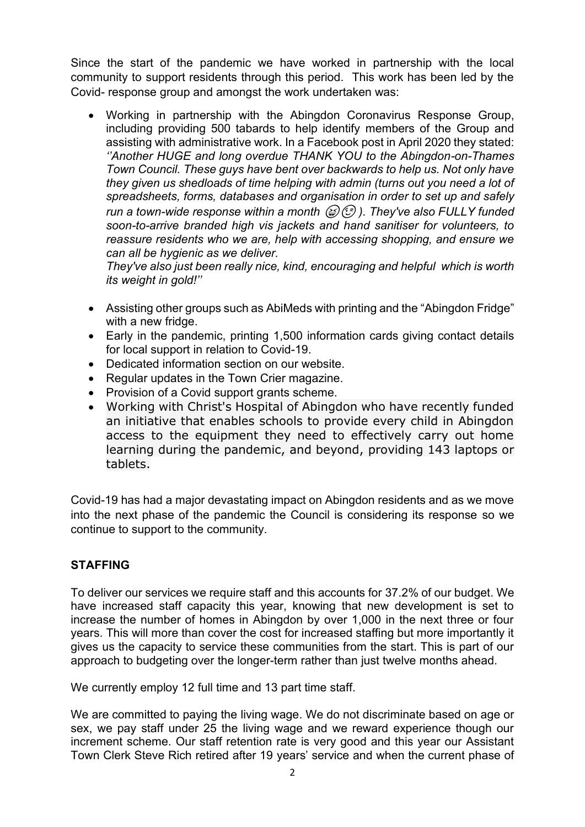Since the start of the pandemic we have worked in partnership with the local community to support residents through this period. This work has been led by the Covid- response group and amongst the work undertaken was:

• Working in partnership with the Abingdon Coronavirus Response Group, including providing 500 tabards to help identify members of the Group and assisting with administrative work. In a Facebook post in April 2020 they stated: *''Another HUGE and long overdue THANK YOU to the Abingdon-on-Thames Town Council. These guys have bent over backwards to help us. Not only have they given us shedloads of time helping with admin (turns out you need a lot of spreadsheets, forms, databases and organisation in order to set up and safely run a town-wide response within a month*  $\mathcal{B}(2)$ *. They've also FULLY funded soon-to-arrive branded high vis jackets and hand sanitiser for volunteers, to reassure residents who we are, help with accessing shopping, and ensure we can all be hygienic as we deliver.*

*They've also just been really nice, kind, encouraging and helpful which is worth its weight in gold!''*

- Assisting other groups such as AbiMeds with printing and the "Abingdon Fridge" with a new fridge.
- Early in the pandemic, printing 1,500 information cards giving contact details for local support in relation to Covid-19.
- Dedicated information section on our website.
- Regular updates in the Town Crier magazine.
- Provision of a Covid support grants scheme.
- Working with Christ's Hospital of Abingdon who have recently funded an initiative that enables schools to provide every child in Abingdon access to the equipment they need to effectively carry out home learning during the pandemic, and beyond, providing 143 laptops or tablets.

Covid-19 has had a major devastating impact on Abingdon residents and as we move into the next phase of the pandemic the Council is considering its response so we continue to support to the community.

# **STAFFING**

To deliver our services we require staff and this accounts for 37.2% of our budget. We have increased staff capacity this year, knowing that new development is set to increase the number of homes in Abingdon by over 1,000 in the next three or four years. This will more than cover the cost for increased staffing but more importantly it gives us the capacity to service these communities from the start. This is part of our approach to budgeting over the longer-term rather than just twelve months ahead.

We currently employ 12 full time and 13 part time staff.

We are committed to paying the living wage. We do not discriminate based on age or sex, we pay staff under 25 the living wage and we reward experience though our increment scheme. Our staff retention rate is very good and this year our Assistant Town Clerk Steve Rich retired after 19 years' service and when the current phase of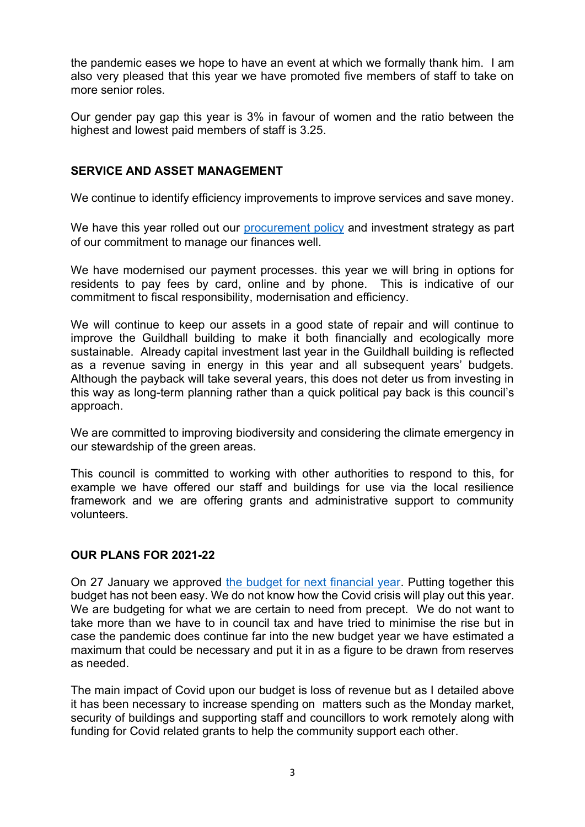the pandemic eases we hope to have an event at which we formally thank him. I am also very pleased that this year we have promoted five members of staff to take on more senior roles.

Our gender pay gap this year is 3% in favour of women and the ratio between the highest and lowest paid members of staff is 3.25.

### **SERVICE AND ASSET MANAGEMENT**

We continue to identify efficiency improvements to improve services and save money.

We have this year rolled out our [procurement policy](https://www.abingdon.gov.uk/system/files/sites/default/files/towncouncil/procurement_policy_sep_2020.pdf) and investment strategy as part of our commitment to manage our finances well.

We have modernised our payment processes. this year we will bring in options for residents to pay fees by card, online and by phone. This is indicative of our commitment to fiscal responsibility, modernisation and efficiency.

We will continue to keep our assets in a good state of repair and will continue to improve the Guildhall building to make it both financially and ecologically more sustainable. Already capital investment last year in the Guildhall building is reflected as a revenue saving in energy in this year and all subsequent years' budgets. Although the payback will take several years, this does not deter us from investing in this way as long-term planning rather than a quick political pay back is this council's approach.

We are committed to improving biodiversity and considering the climate emergency in our stewardship of the green areas.

This council is committed to working with other authorities to respond to this, for example we have offered our staff and buildings for use via the local resilience framework and we are offering grants and administrative support to community volunteers.

#### **OUR PLANS FOR 2021-22**

On 27 January we approved [the budget for next financial year.](https://www.abingdon.gov.uk/system/files/sites/default/files/towncouncil/2021-22_budget_summary.pdf) Putting together this budget has not been easy. We do not know how the Covid crisis will play out this year. We are budgeting for what we are certain to need from precept. We do not want to take more than we have to in council tax and have tried to minimise the rise but in case the pandemic does continue far into the new budget year we have estimated a maximum that could be necessary and put it in as a figure to be drawn from reserves as needed.

The main impact of Covid upon our budget is loss of revenue but as I detailed above it has been necessary to increase spending on matters such as the Monday market, security of buildings and supporting staff and councillors to work remotely along with funding for Covid related grants to help the community support each other.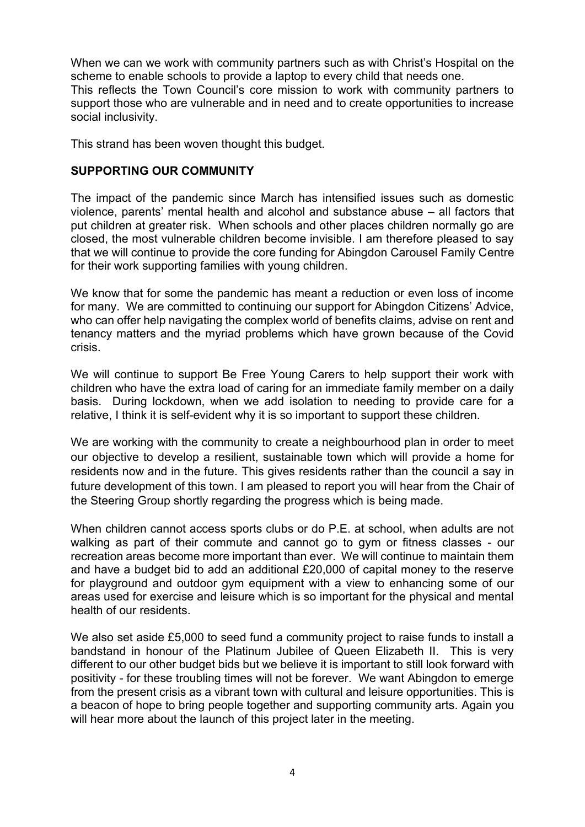When we can we work with community partners such as with Christ's Hospital on the scheme to enable schools to provide a laptop to every child that needs one. This reflects the Town Council's core mission to work with community partners to support those who are vulnerable and in need and to create opportunities to increase social inclusivity.

This strand has been woven thought this budget.

### **SUPPORTING OUR COMMUNITY**

The impact of the pandemic since March has intensified issues such as domestic violence, parents' mental health and alcohol and substance abuse – all factors that put children at greater risk. When schools and other places children normally go are closed, the most vulnerable children become invisible. I am therefore pleased to say that we will continue to provide the core funding for Abingdon Carousel Family Centre for their work supporting families with young children.

We know that for some the pandemic has meant a reduction or even loss of income for many. We are committed to continuing our support for Abingdon Citizens' Advice, who can offer help navigating the complex world of benefits claims, advise on rent and tenancy matters and the myriad problems which have grown because of the Covid crisis.

We will continue to support Be Free Young Carers to help support their work with children who have the extra load of caring for an immediate family member on a daily basis. During lockdown, when we add isolation to needing to provide care for a relative, I think it is self-evident why it is so important to support these children.

We are working with the community to create a neighbourhood plan in order to meet our objective to develop a resilient, sustainable town which will provide a home for residents now and in the future. This gives residents rather than the council a say in future development of this town. I am pleased to report you will hear from the Chair of the Steering Group shortly regarding the progress which is being made.

When children cannot access sports clubs or do P.E. at school, when adults are not walking as part of their commute and cannot go to gym or fitness classes - our recreation areas become more important than ever. We will continue to maintain them and have a budget bid to add an additional £20,000 of capital money to the reserve for playground and outdoor gym equipment with a view to enhancing some of our areas used for exercise and leisure which is so important for the physical and mental health of our residents.

We also set aside £5,000 to seed fund a community project to raise funds to install a bandstand in honour of the Platinum Jubilee of Queen Elizabeth II. This is very different to our other budget bids but we believe it is important to still look forward with positivity - for these troubling times will not be forever. We want Abingdon to emerge from the present crisis as a vibrant town with cultural and leisure opportunities. This is a beacon of hope to bring people together and supporting community arts. Again you will hear more about the launch of this project later in the meeting.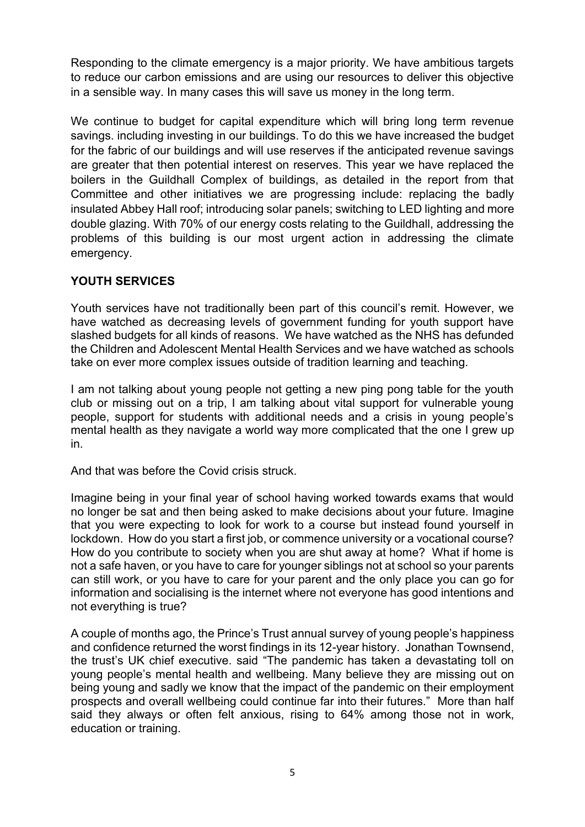Responding to the climate emergency is a major priority. We have ambitious targets to reduce our carbon emissions and are using our resources to deliver this objective in a sensible way. In many cases this will save us money in the long term.

We continue to budget for capital expenditure which will bring long term revenue savings. including investing in our buildings. To do this we have increased the budget for the fabric of our buildings and will use reserves if the anticipated revenue savings are greater that then potential interest on reserves. This year we have replaced the boilers in the Guildhall Complex of buildings, as detailed in the report from that Committee and other initiatives we are progressing include: replacing the badly insulated Abbey Hall roof; introducing solar panels; switching to LED lighting and more double glazing. With 70% of our energy costs relating to the Guildhall, addressing the problems of this building is our most urgent action in addressing the climate emergency.

## **YOUTH SERVICES**

Youth services have not traditionally been part of this council's remit. However, we have watched as decreasing levels of government funding for youth support have slashed budgets for all kinds of reasons. We have watched as the NHS has defunded the Children and Adolescent Mental Health Services and we have watched as schools take on ever more complex issues outside of tradition learning and teaching.

I am not talking about young people not getting a new ping pong table for the youth club or missing out on a trip, I am talking about vital support for vulnerable young people, support for students with additional needs and a crisis in young people's mental health as they navigate a world way more complicated that the one I grew up in.

And that was before the Covid crisis struck.

Imagine being in your final year of school having worked towards exams that would no longer be sat and then being asked to make decisions about your future. Imagine that you were expecting to look for work to a course but instead found yourself in lockdown. How do you start a first job, or commence university or a vocational course? How do you contribute to society when you are shut away at home? What if home is not a safe haven, or you have to care for younger siblings not at school so your parents can still work, or you have to care for your parent and the only place you can go for information and socialising is the internet where not everyone has good intentions and not everything is true?

A couple of months ago, the Prince's Trust annual survey of young people's happiness and confidence returned the worst findings in its 12-year history. Jonathan Townsend, the trust's UK chief executive. said "The pandemic has taken a devastating toll on young people's mental health and wellbeing. Many believe they are missing out on being young and sadly we know that the impact of the pandemic on their employment prospects and overall wellbeing could continue far into their futures." More than half said they always or often felt anxious, rising to 64% among those not in work, education or training.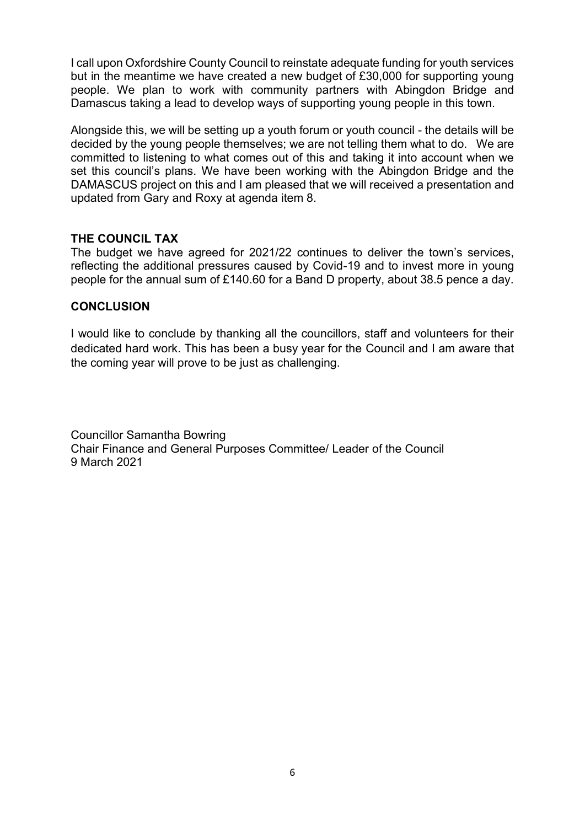I call upon Oxfordshire County Council to reinstate adequate funding for youth services but in the meantime we have created a new budget of £30,000 for supporting young people. We plan to work with community partners with Abingdon Bridge and Damascus taking a lead to develop ways of supporting young people in this town.

Alongside this, we will be setting up a youth forum or youth council - the details will be decided by the young people themselves; we are not telling them what to do. We are committed to listening to what comes out of this and taking it into account when we set this council's plans. We have been working with the Abingdon Bridge and the DAMASCUS project on this and I am pleased that we will received a presentation and updated from Gary and Roxy at agenda item 8.

### **THE COUNCIL TAX**

The budget we have agreed for 2021/22 continues to deliver the town's services, reflecting the additional pressures caused by Covid-19 and to invest more in young people for the annual sum of £140.60 for a Band D property, about 38.5 pence a day.

### **CONCLUSION**

I would like to conclude by thanking all the councillors, staff and volunteers for their dedicated hard work. This has been a busy year for the Council and I am aware that the coming year will prove to be just as challenging.

Councillor Samantha Bowring Chair Finance and General Purposes Committee/ Leader of the Council 9 March 2021